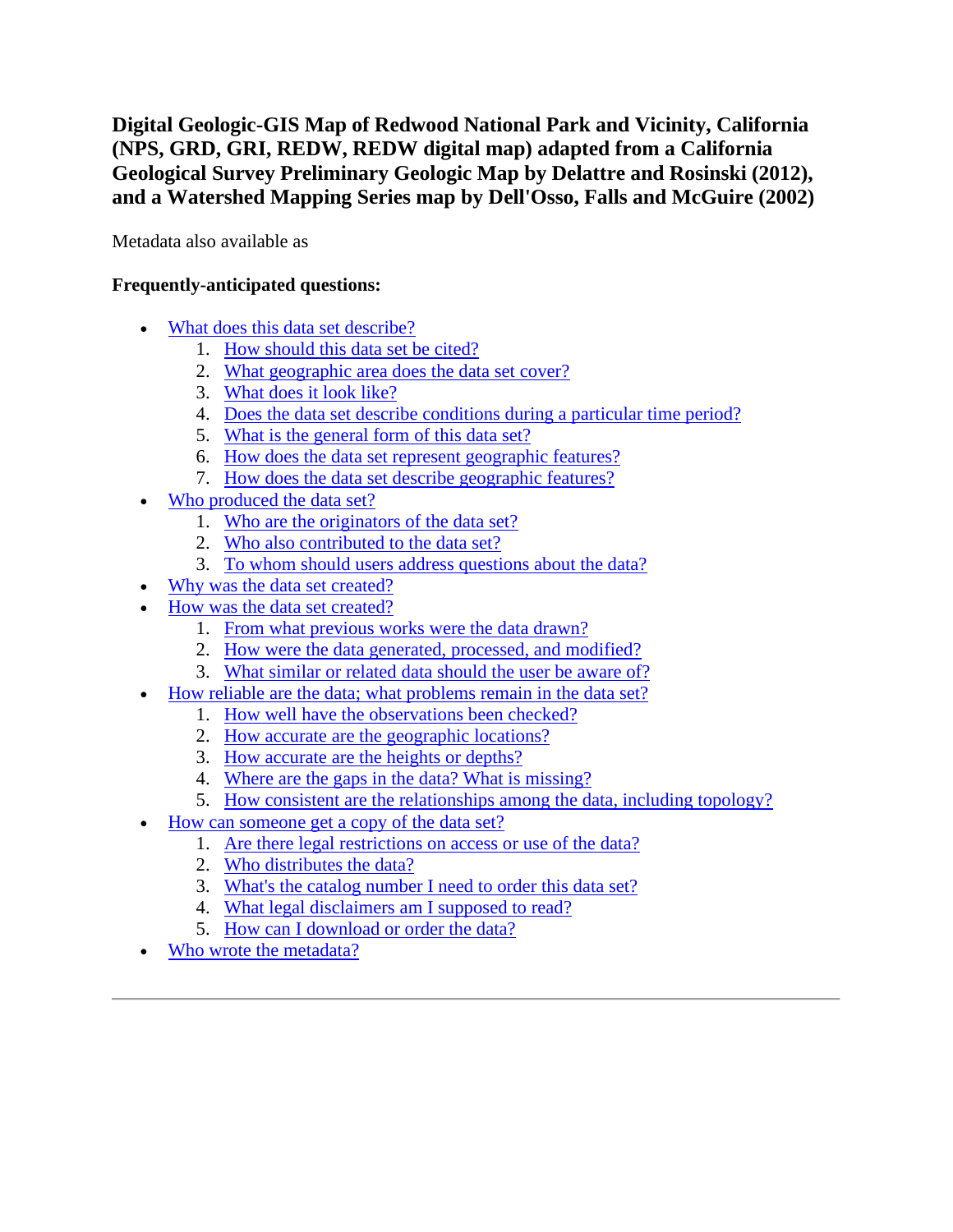**Digital Geologic-GIS Map of Redwood National Park and Vicinity, California (NPS, GRD, GRI, REDW, REDW digital map) adapted from a California Geological Survey Preliminary Geologic Map by Delattre and Rosinski (2012), and a Watershed Mapping Series map by Dell'Osso, Falls and McGuire (2002)**

Metadata also available as

## **Frequently-anticipated questions:**

- [What does this data set describe?](#page-0-0)
	- 1. [How should this data set be cited?](#page-2-0)
	- 2. What [geographic area does the data set cover?](#page-2-1)
	- 3. [What does it look like?](#page-2-2)
	- 4. [Does the data set describe conditions during a particular time period?](#page-3-0)
	- 5. [What is the general form of this data set?](#page-3-1)
	- 6. [How does the data set represent geographic features?](#page-3-2)
	- 7. [How does the data set describe geographic features?](#page-3-3)
- [Who produced the data set?](#page-4-0)
	- 1. [Who are the originators of the data set?](#page-4-1)
	- 2. [Who also contributed to the data set?](#page-4-2)
	- 3. [To whom should users address questions about the data?](#page-4-3)
- [Why was the data set created?](#page-4-4)
- [How was the data set created?](#page-4-5)
	- 1. [From what previous works were the data drawn?](#page-4-6)
	- 2. [How were the data generated, processed, and modified?](#page-5-0)
	- 3. [What similar or related data should the user be aware of?](#page-6-0)
- [How reliable are the data; what problems remain in the data set?](#page-7-0)
	- 1. [How well have the observations been checked?](#page-7-1)
	- 2. [How accurate are the geographic locations?](#page-7-2)
	- 3. [How accurate are the heights or depths?](#page-7-3)
	- 4. [Where are the gaps in the data? What is missing?](#page-7-4)
	- 5. [How consistent are the relationships among the data, including topology?](#page-7-5)
- [How can someone get a copy of the data set?](#page-7-6)
	- 1. [Are there legal restrictions on access or use of the data?](#page-7-7)
	- 2. [Who distributes the data?](#page-8-0)
	- 3. [What's the catalog number I need to order this data set?](#page-8-1)
	- 4. [What legal disclaimers am I supposed to read?](#page-8-2)
	- 5. [How can I download or order the data?](#page-9-0)
- <span id="page-0-0"></span>[Who wrote the metadata?](#page-10-0)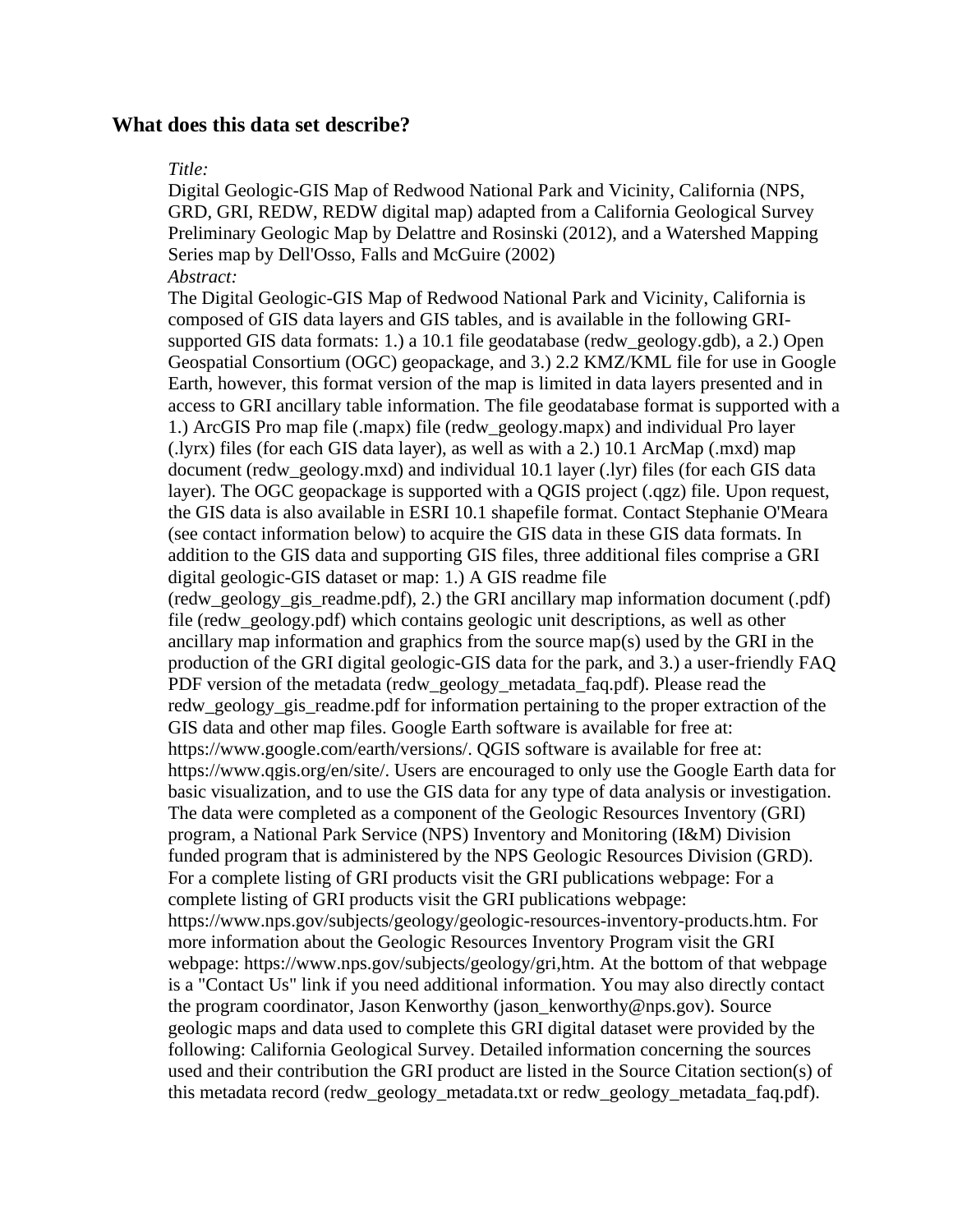#### **What does this data set describe?**

#### *Title:*

Digital Geologic-GIS Map of Redwood National Park and Vicinity, California (NPS, GRD, GRI, REDW, REDW digital map) adapted from a California Geological Survey Preliminary Geologic Map by Delattre and Rosinski (2012), and a Watershed Mapping Series map by Dell'Osso, Falls and McGuire (2002) *Abstract:*

The Digital Geologic-GIS Map of Redwood National Park and Vicinity, California is composed of GIS data layers and GIS tables, and is available in the following GRIsupported GIS data formats: 1.) a 10.1 file geodatabase (redw\_geology.gdb), a 2.) Open Geospatial Consortium (OGC) geopackage, and 3.) 2.2 KMZ/KML file for use in Google Earth, however, this format version of the map is limited in data layers presented and in access to GRI ancillary table information. The file geodatabase format is supported with a 1.) ArcGIS Pro map file (.mapx) file (redw\_geology.mapx) and individual Pro layer (.lyrx) files (for each GIS data layer), as well as with a 2.) 10.1 ArcMap (.mxd) map document (redw\_geology.mxd) and individual 10.1 layer (.lyr) files (for each GIS data layer). The OGC geopackage is supported with a QGIS project (.qgz) file. Upon request, the GIS data is also available in ESRI 10.1 shapefile format. Contact Stephanie O'Meara (see contact information below) to acquire the GIS data in these GIS data formats. In addition to the GIS data and supporting GIS files, three additional files comprise a GRI digital geologic-GIS dataset or map: 1.) A GIS readme file (redw\_geology\_gis\_readme.pdf), 2.) the GRI ancillary map information document (.pdf) file (redw\_geology.pdf) which contains geologic unit descriptions, as well as other ancillary map information and graphics from the source map(s) used by the GRI in the production of the GRI digital geologic-GIS data for the park, and 3.) a user-friendly FAQ PDF version of the metadata (redw\_geology\_metadata\_faq.pdf). Please read the redw\_geology\_gis\_readme.pdf for information pertaining to the proper extraction of the GIS data and other map files. Google Earth software is available for free at: https://www.google.com/earth/versions/. QGIS software is available for free at: https://www.qgis.org/en/site/. Users are encouraged to only use the Google Earth data for basic visualization, and to use the GIS data for any type of data analysis or investigation. The data were completed as a component of the Geologic Resources Inventory (GRI) program, a National Park Service (NPS) Inventory and Monitoring (I&M) Division funded program that is administered by the NPS Geologic Resources Division (GRD). For a complete listing of GRI products visit the GRI publications webpage: For a complete listing of GRI products visit the GRI publications webpage: https://www.nps.gov/subjects/geology/geologic-resources-inventory-products.htm. For more information about the Geologic Resources Inventory Program visit the GRI webpage: https://www.nps.gov/subjects/geology/gri,htm. At the bottom of that webpage is a "Contact Us" link if you need additional information. You may also directly contact the program coordinator, Jason Kenworthy (jason\_kenworthy@nps.gov). Source geologic maps and data used to complete this GRI digital dataset were provided by the following: California Geological Survey. Detailed information concerning the sources used and their contribution the GRI product are listed in the Source Citation section(s) of this metadata record (redw\_geology\_metadata.txt or redw\_geology\_metadata\_faq.pdf).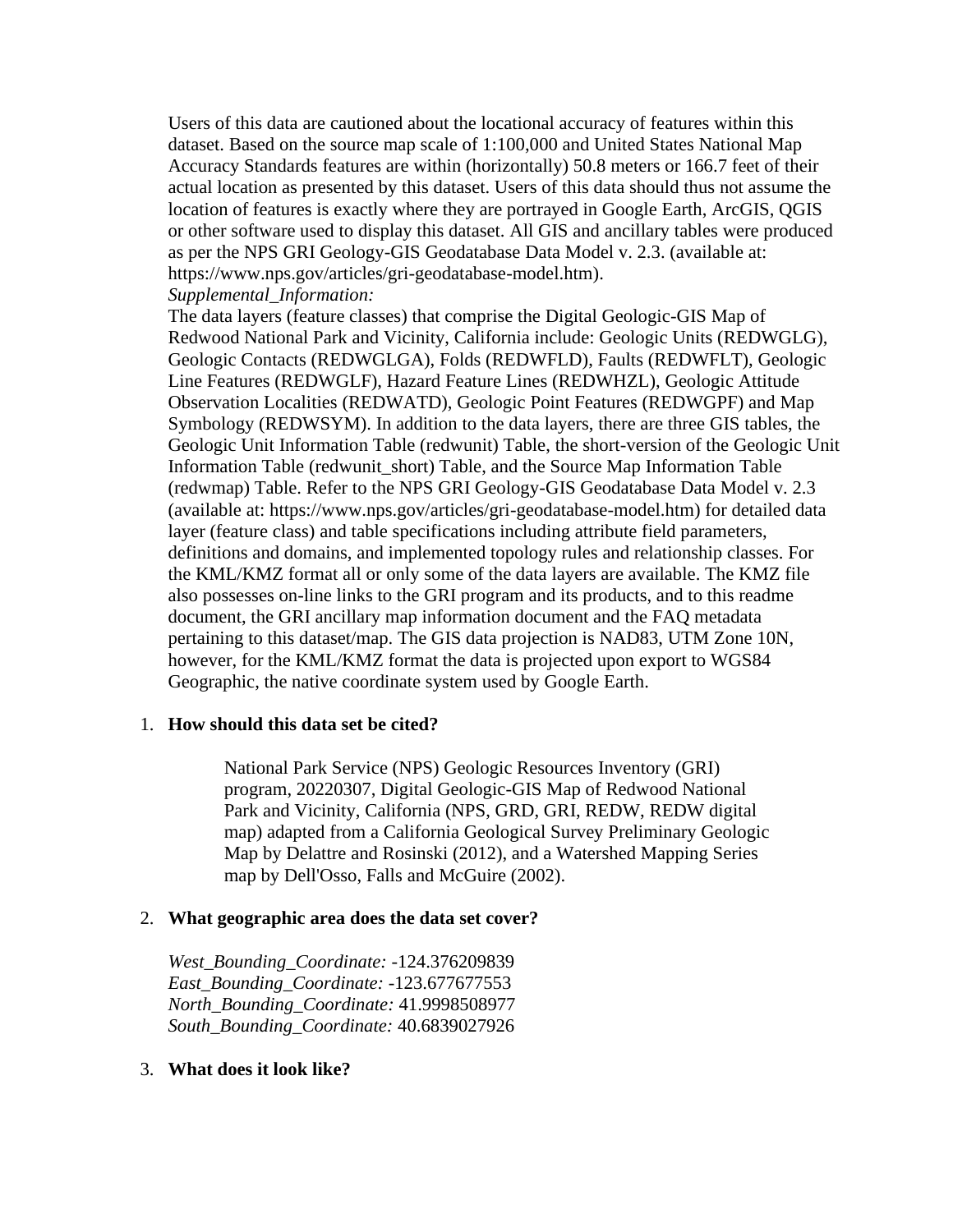Users of this data are cautioned about the locational accuracy of features within this dataset. Based on the source map scale of 1:100,000 and United States National Map Accuracy Standards features are within (horizontally) 50.8 meters or 166.7 feet of their actual location as presented by this dataset. Users of this data should thus not assume the location of features is exactly where they are portrayed in Google Earth, ArcGIS, QGIS or other software used to display this dataset. All GIS and ancillary tables were produced as per the NPS GRI Geology-GIS Geodatabase Data Model v. 2.3. (available at: https://www.nps.gov/articles/gri-geodatabase-model.htm).

*Supplemental\_Information:*

The data layers (feature classes) that comprise the Digital Geologic-GIS Map of Redwood National Park and Vicinity, California include: Geologic Units (REDWGLG), Geologic Contacts (REDWGLGA), Folds (REDWFLD), Faults (REDWFLT), Geologic Line Features (REDWGLF), Hazard Feature Lines (REDWHZL), Geologic Attitude Observation Localities (REDWATD), Geologic Point Features (REDWGPF) and Map Symbology (REDWSYM). In addition to the data layers, there are three GIS tables, the Geologic Unit Information Table (redwunit) Table, the short-version of the Geologic Unit Information Table (redwunit\_short) Table, and the Source Map Information Table (redwmap) Table. Refer to the NPS GRI Geology-GIS Geodatabase Data Model v. 2.3 (available at: https://www.nps.gov/articles/gri-geodatabase-model.htm) for detailed data layer (feature class) and table specifications including attribute field parameters, definitions and domains, and implemented topology rules and relationship classes. For the KML/KMZ format all or only some of the data layers are available. The KMZ file also possesses on-line links to the GRI program and its products, and to this readme document, the GRI ancillary map information document and the FAQ metadata pertaining to this dataset/map. The GIS data projection is NAD83, UTM Zone 10N, however, for the KML/KMZ format the data is projected upon export to WGS84 Geographic, the native coordinate system used by Google Earth.

### <span id="page-2-0"></span>1. **How should this data set be cited?**

National Park Service (NPS) Geologic Resources Inventory (GRI) program, 20220307, Digital Geologic-GIS Map of Redwood National Park and Vicinity, California (NPS, GRD, GRI, REDW, REDW digital map) adapted from a California Geological Survey Preliminary Geologic Map by Delattre and Rosinski (2012), and a Watershed Mapping Series map by Dell'Osso, Falls and McGuire (2002).

### <span id="page-2-1"></span>2. **What geographic area does the data set cover?**

*West\_Bounding\_Coordinate:* -124.376209839 *East\_Bounding\_Coordinate:* -123.677677553 *North\_Bounding\_Coordinate:* 41.9998508977 *South\_Bounding\_Coordinate:* 40.6839027926

### <span id="page-2-2"></span>3. **What does it look like?**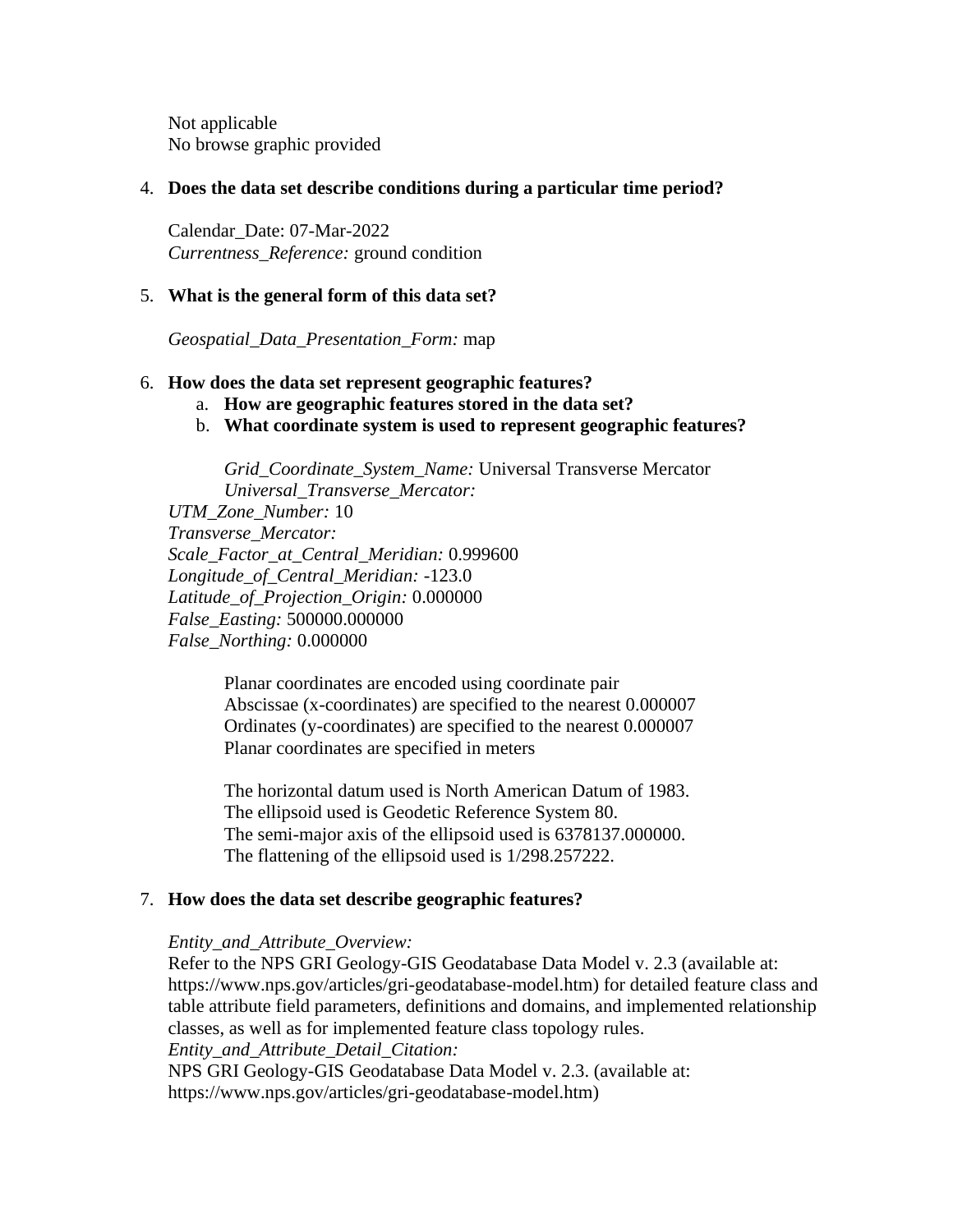Not applicable No browse graphic provided

## <span id="page-3-0"></span>4. **Does the data set describe conditions during a particular time period?**

Calendar\_Date: 07-Mar-2022 *Currentness\_Reference:* ground condition

## <span id="page-3-1"></span>5. **What is the general form of this data set?**

*Geospatial\_Data\_Presentation\_Form:* map

### <span id="page-3-2"></span>6. **How does the data set represent geographic features?**

- a. **How are geographic features stored in the data set?**
- b. **What coordinate system is used to represent geographic features?**

*Grid\_Coordinate\_System\_Name:* Universal Transverse Mercator *Universal\_Transverse\_Mercator:*

*UTM\_Zone\_Number:* 10 *Transverse\_Mercator: Scale\_Factor\_at\_Central\_Meridian:* 0.999600 *Longitude\_of\_Central\_Meridian:* -123.0 *Latitude\_of\_Projection\_Origin:* 0.000000 *False\_Easting:* 500000.000000 *False\_Northing:* 0.000000

> Planar coordinates are encoded using coordinate pair Abscissae (x-coordinates) are specified to the nearest 0.000007 Ordinates (y-coordinates) are specified to the nearest 0.000007 Planar coordinates are specified in meters

> The horizontal datum used is North American Datum of 1983. The ellipsoid used is Geodetic Reference System 80. The semi-major axis of the ellipsoid used is 6378137.000000. The flattening of the ellipsoid used is 1/298.257222.

### <span id="page-3-3"></span>7. **How does the data set describe geographic features?**

### *Entity\_and\_Attribute\_Overview:*

Refer to the NPS GRI Geology-GIS Geodatabase Data Model v. 2.3 (available at: https://www.nps.gov/articles/gri-geodatabase-model.htm) for detailed feature class and table attribute field parameters, definitions and domains, and implemented relationship classes, as well as for implemented feature class topology rules. *Entity\_and\_Attribute\_Detail\_Citation:* NPS GRI Geology-GIS Geodatabase Data Model v. 2.3. (available at: https://www.nps.gov/articles/gri-geodatabase-model.htm)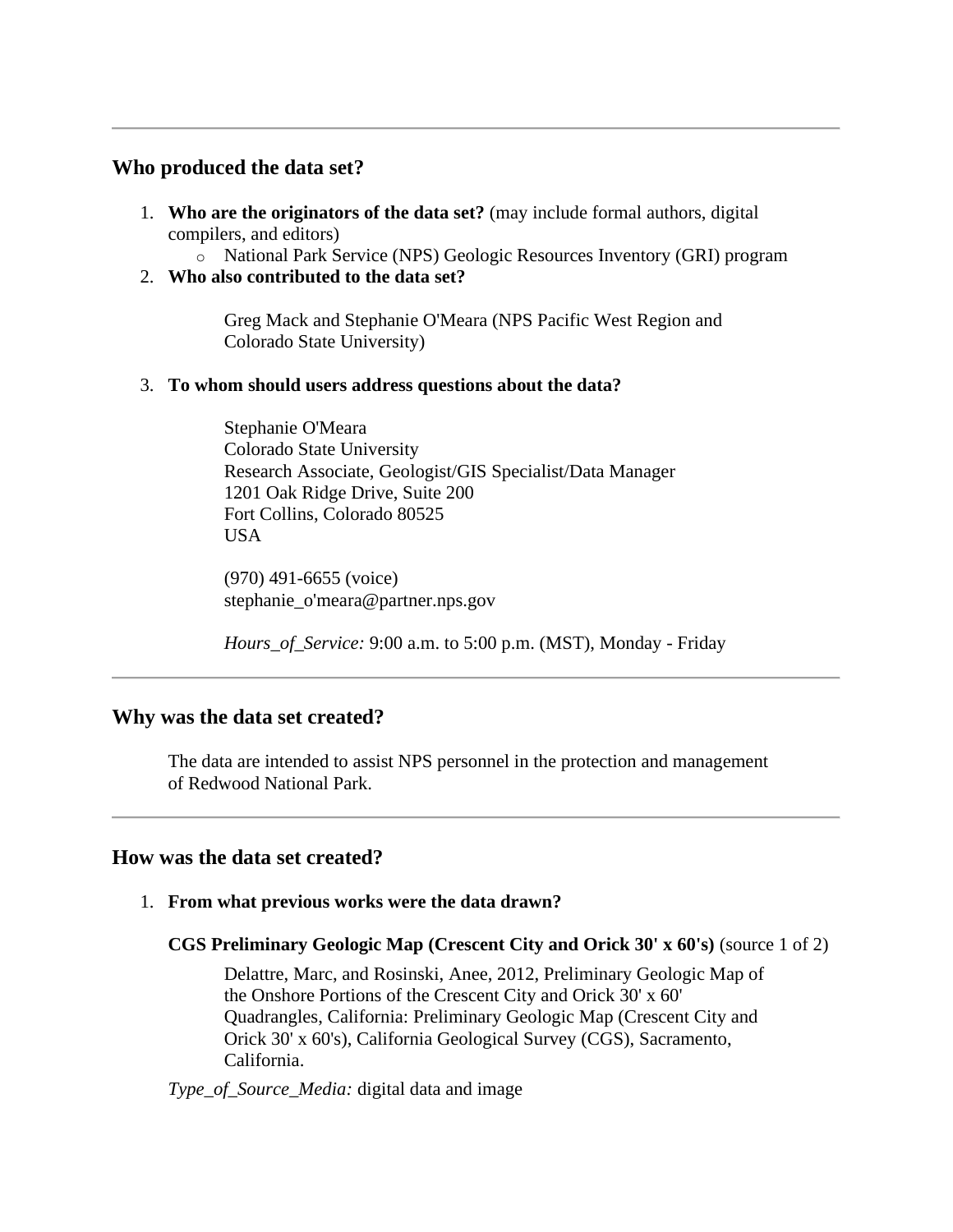## <span id="page-4-0"></span>**Who produced the data set?**

- <span id="page-4-1"></span>1. **Who are the originators of the data set?** (may include formal authors, digital compilers, and editors)
	- o National Park Service (NPS) Geologic Resources Inventory (GRI) program
- <span id="page-4-2"></span>2. **Who also contributed to the data set?**

Greg Mack and Stephanie O'Meara (NPS Pacific West Region and Colorado State University)

## <span id="page-4-3"></span>3. **To whom should users address questions about the data?**

Stephanie O'Meara Colorado State University Research Associate, Geologist/GIS Specialist/Data Manager 1201 Oak Ridge Drive, Suite 200 Fort Collins, Colorado 80525 USA

(970) 491-6655 (voice) stephanie\_o'meara@partner.nps.gov

*Hours\_of\_Service:* 9:00 a.m. to 5:00 p.m. (MST), Monday - Friday

## <span id="page-4-4"></span>**Why was the data set created?**

The data are intended to assist NPS personnel in the protection and management of Redwood National Park.

## <span id="page-4-5"></span>**How was the data set created?**

<span id="page-4-6"></span>1. **From what previous works were the data drawn?**

### **CGS Preliminary Geologic Map (Crescent City and Orick 30' x 60's)** (source 1 of 2)

Delattre, Marc, and Rosinski, Anee, 2012, Preliminary Geologic Map of the Onshore Portions of the Crescent City and Orick 30' x 60' Quadrangles, California: Preliminary Geologic Map (Crescent City and Orick 30' x 60's), California Geological Survey (CGS), Sacramento, California.

*Type\_of\_Source\_Media:* digital data and image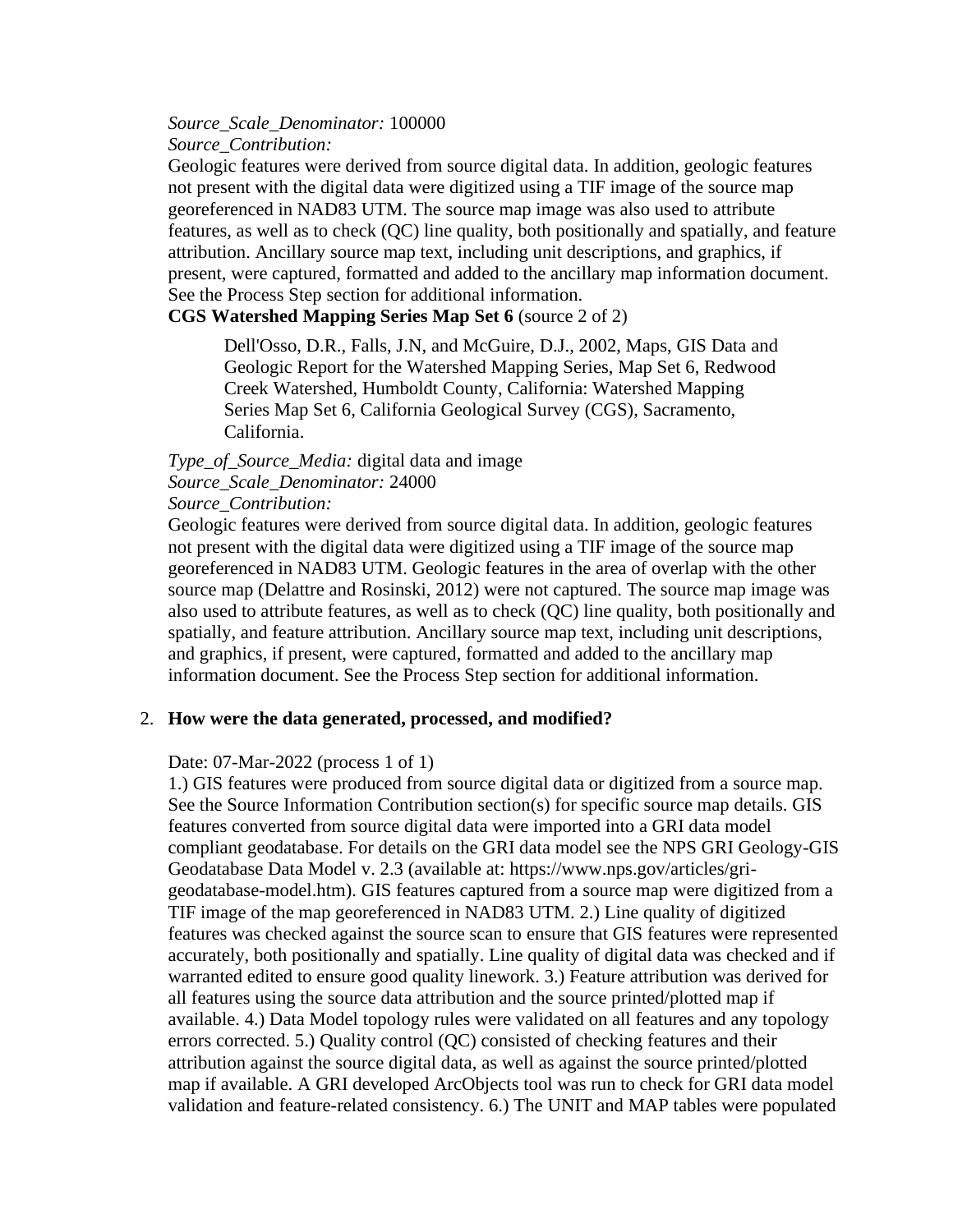*Source\_Scale\_Denominator:* 100000 *Source\_Contribution:*

Geologic features were derived from source digital data. In addition, geologic features not present with the digital data were digitized using a TIF image of the source map georeferenced in NAD83 UTM. The source map image was also used to attribute features, as well as to check (QC) line quality, both positionally and spatially, and feature attribution. Ancillary source map text, including unit descriptions, and graphics, if present, were captured, formatted and added to the ancillary map information document. See the Process Step section for additional information.

### **CGS Watershed Mapping Series Map Set 6** (source 2 of 2)

Dell'Osso, D.R., Falls, J.N, and McGuire, D.J., 2002, Maps, GIS Data and Geologic Report for the Watershed Mapping Series, Map Set 6, Redwood Creek Watershed, Humboldt County, California: Watershed Mapping Series Map Set 6, California Geological Survey (CGS), Sacramento, California.

### *Type\_of\_Source\_Media:* digital data and image *Source\_Scale\_Denominator:* 24000

#### *Source\_Contribution:*

Geologic features were derived from source digital data. In addition, geologic features not present with the digital data were digitized using a TIF image of the source map georeferenced in NAD83 UTM. Geologic features in the area of overlap with the other source map (Delattre and Rosinski, 2012) were not captured. The source map image was also used to attribute features, as well as to check (QC) line quality, both positionally and spatially, and feature attribution. Ancillary source map text, including unit descriptions, and graphics, if present, were captured, formatted and added to the ancillary map information document. See the Process Step section for additional information.

### <span id="page-5-0"></span>2. **How were the data generated, processed, and modified?**

#### Date: 07-Mar-2022 (process 1 of 1)

1.) GIS features were produced from source digital data or digitized from a source map. See the Source Information Contribution section(s) for specific source map details. GIS features converted from source digital data were imported into a GRI data model compliant geodatabase. For details on the GRI data model see the NPS GRI Geology-GIS Geodatabase Data Model v. 2.3 (available at: https://www.nps.gov/articles/grigeodatabase-model.htm). GIS features captured from a source map were digitized from a TIF image of the map georeferenced in NAD83 UTM. 2.) Line quality of digitized features was checked against the source scan to ensure that GIS features were represented accurately, both positionally and spatially. Line quality of digital data was checked and if warranted edited to ensure good quality linework. 3.) Feature attribution was derived for all features using the source data attribution and the source printed/plotted map if available. 4.) Data Model topology rules were validated on all features and any topology errors corrected. 5.) Quality control (QC) consisted of checking features and their attribution against the source digital data, as well as against the source printed/plotted map if available. A GRI developed ArcObjects tool was run to check for GRI data model validation and feature-related consistency. 6.) The UNIT and MAP tables were populated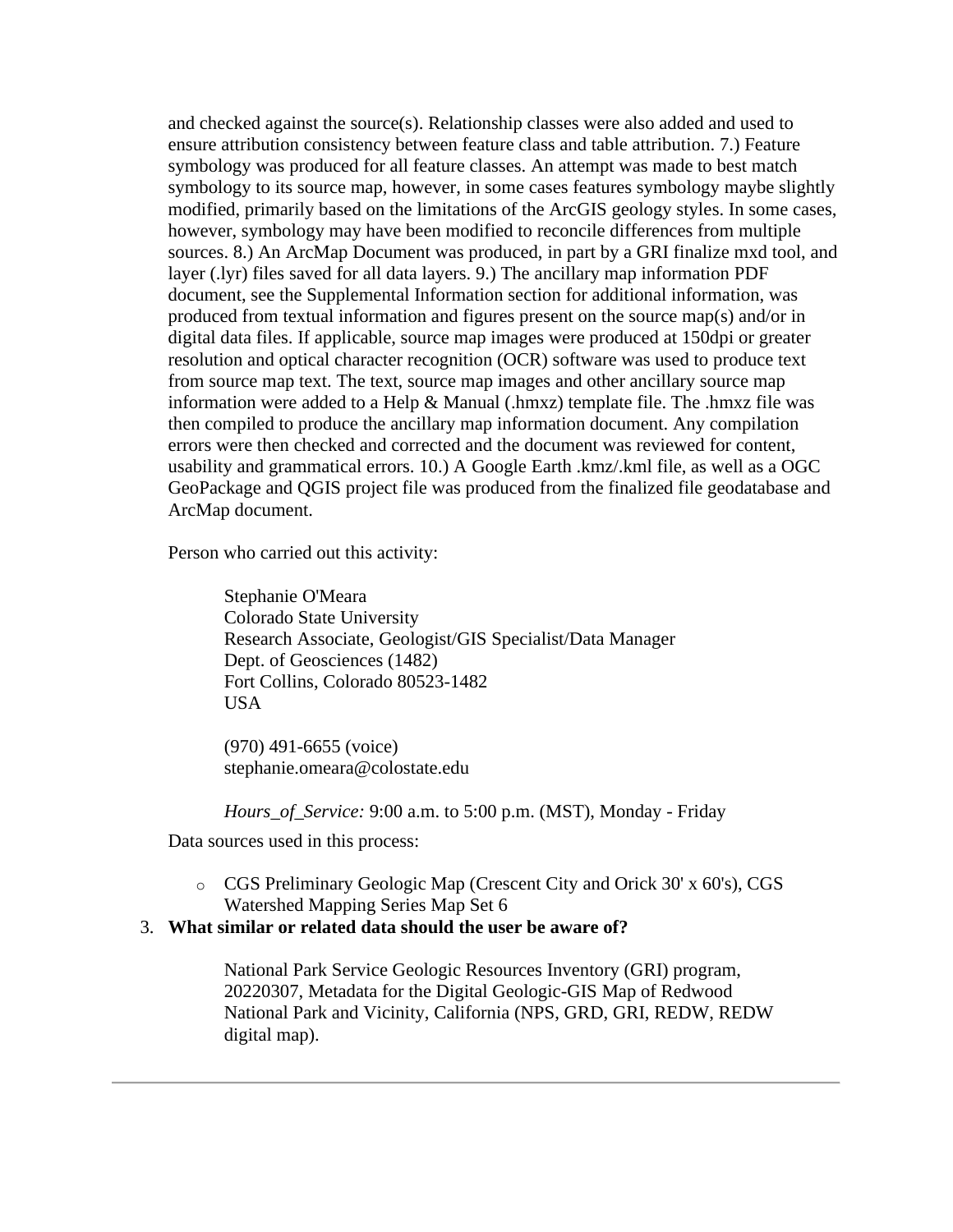and checked against the source(s). Relationship classes were also added and used to ensure attribution consistency between feature class and table attribution. 7.) Feature symbology was produced for all feature classes. An attempt was made to best match symbology to its source map, however, in some cases features symbology maybe slightly modified, primarily based on the limitations of the ArcGIS geology styles. In some cases, however, symbology may have been modified to reconcile differences from multiple sources. 8.) An ArcMap Document was produced, in part by a GRI finalize mxd tool, and layer (.lyr) files saved for all data layers. 9.) The ancillary map information PDF document, see the Supplemental Information section for additional information, was produced from textual information and figures present on the source map(s) and/or in digital data files. If applicable, source map images were produced at 150dpi or greater resolution and optical character recognition (OCR) software was used to produce text from source map text. The text, source map images and other ancillary source map information were added to a Help & Manual (.hmxz) template file. The .hmxz file was then compiled to produce the ancillary map information document. Any compilation errors were then checked and corrected and the document was reviewed for content, usability and grammatical errors. 10.) A Google Earth .kmz/.kml file, as well as a OGC GeoPackage and QGIS project file was produced from the finalized file geodatabase and ArcMap document.

Person who carried out this activity:

Stephanie O'Meara Colorado State University Research Associate, Geologist/GIS Specialist/Data Manager Dept. of Geosciences (1482) Fort Collins, Colorado 80523-1482 USA

(970) 491-6655 (voice) stephanie.omeara@colostate.edu

*Hours\_of\_Service:* 9:00 a.m. to 5:00 p.m. (MST), Monday - Friday

Data sources used in this process:

o CGS Preliminary Geologic Map (Crescent City and Orick 30' x 60's), CGS Watershed Mapping Series Map Set 6

## <span id="page-6-0"></span>3. **What similar or related data should the user be aware of?**

National Park Service Geologic Resources Inventory (GRI) program, 20220307, Metadata for the Digital Geologic-GIS Map of Redwood National Park and Vicinity, California (NPS, GRD, GRI, REDW, REDW digital map).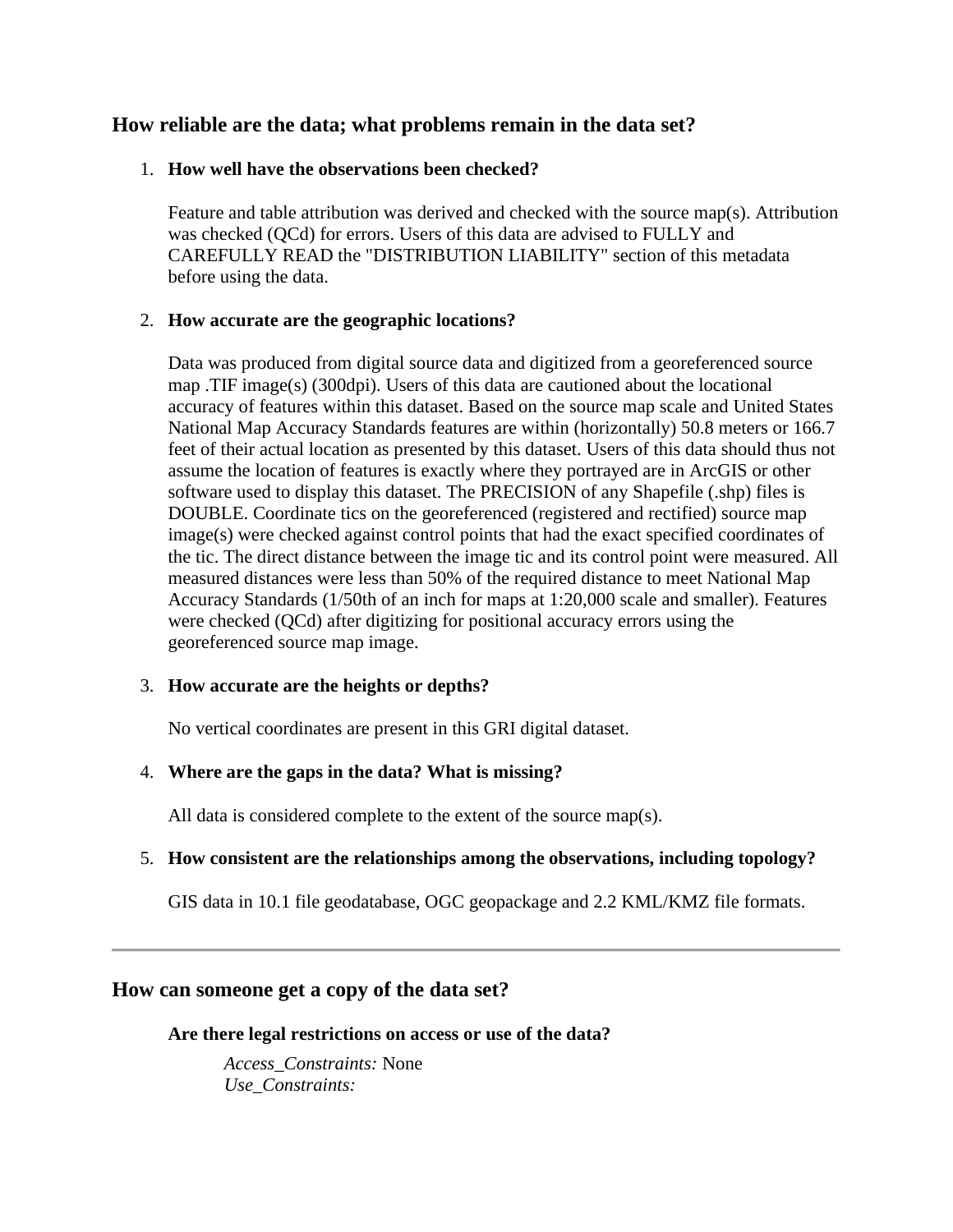## <span id="page-7-0"></span>**How reliable are the data; what problems remain in the data set?**

## <span id="page-7-1"></span>1. **How well have the observations been checked?**

Feature and table attribution was derived and checked with the source map(s). Attribution was checked (QCd) for errors. Users of this data are advised to FULLY and CAREFULLY READ the "DISTRIBUTION LIABILITY" section of this metadata before using the data.

## <span id="page-7-2"></span>2. **How accurate are the geographic locations?**

Data was produced from digital source data and digitized from a georeferenced source map .TIF image(s) (300dpi). Users of this data are cautioned about the locational accuracy of features within this dataset. Based on the source map scale and United States National Map Accuracy Standards features are within (horizontally) 50.8 meters or 166.7 feet of their actual location as presented by this dataset. Users of this data should thus not assume the location of features is exactly where they portrayed are in ArcGIS or other software used to display this dataset. The PRECISION of any Shapefile (.shp) files is DOUBLE. Coordinate tics on the georeferenced (registered and rectified) source map image(s) were checked against control points that had the exact specified coordinates of the tic. The direct distance between the image tic and its control point were measured. All measured distances were less than 50% of the required distance to meet National Map Accuracy Standards (1/50th of an inch for maps at 1:20,000 scale and smaller). Features were checked (QCd) after digitizing for positional accuracy errors using the georeferenced source map image.

### <span id="page-7-3"></span>3. **How accurate are the heights or depths?**

No vertical coordinates are present in this GRI digital dataset.

## <span id="page-7-4"></span>4. **Where are the gaps in the data? What is missing?**

All data is considered complete to the extent of the source map(s).

## <span id="page-7-5"></span>5. **How consistent are the relationships among the observations, including topology?**

GIS data in 10.1 file geodatabase, OGC geopackage and 2.2 KML/KMZ file formats.

## <span id="page-7-7"></span><span id="page-7-6"></span>**How can someone get a copy of the data set?**

**Are there legal restrictions on access or use of the data?**

*Access\_Constraints:* None *Use\_Constraints:*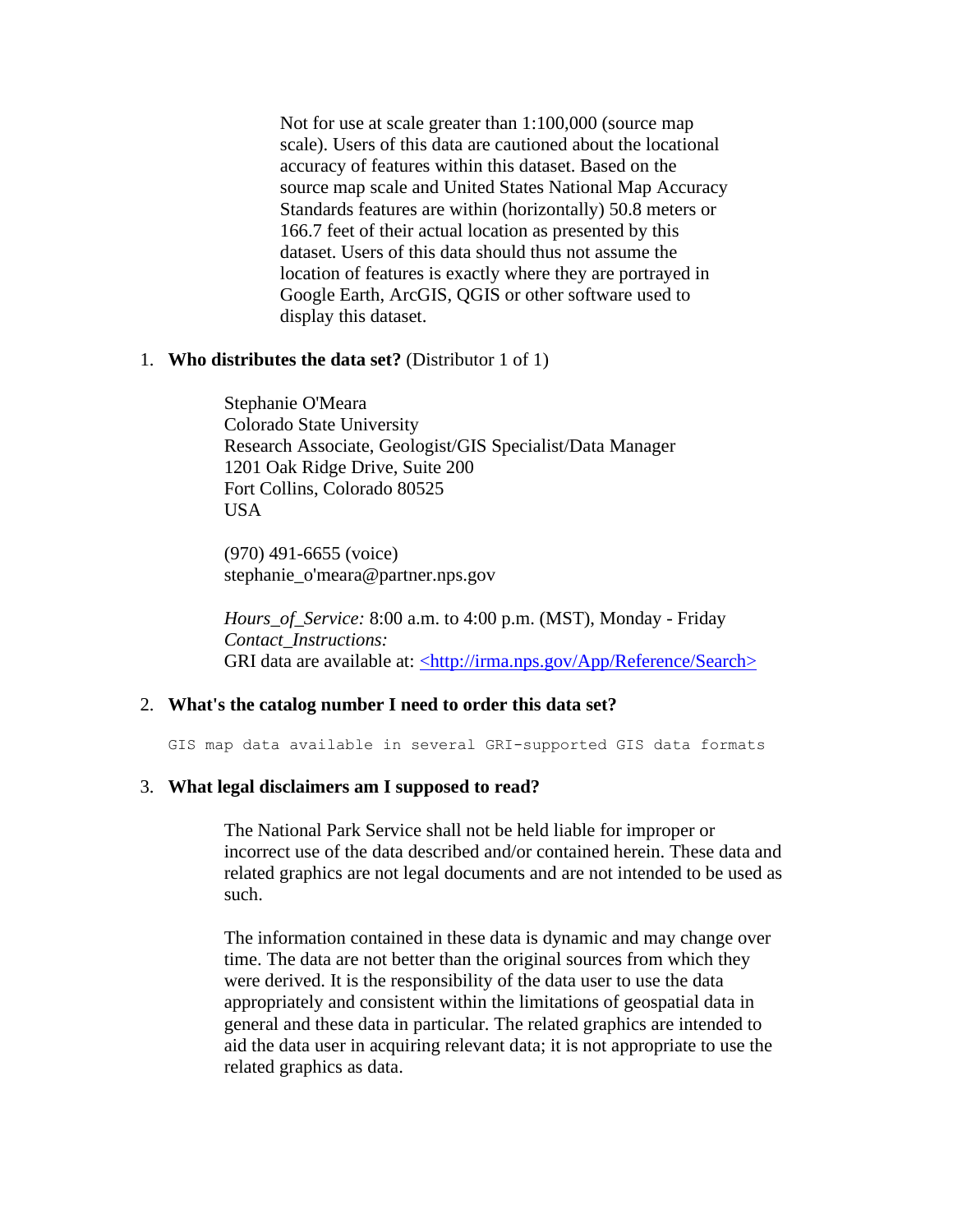Not for use at scale greater than 1:100,000 (source map scale). Users of this data are cautioned about the locational accuracy of features within this dataset. Based on the source map scale and United States National Map Accuracy Standards features are within (horizontally) 50.8 meters or 166.7 feet of their actual location as presented by this dataset. Users of this data should thus not assume the location of features is exactly where they are portrayed in Google Earth, ArcGIS, QGIS or other software used to display this dataset.

#### <span id="page-8-0"></span>1. **Who distributes the data set?** (Distributor 1 of 1)

Stephanie O'Meara Colorado State University Research Associate, Geologist/GIS Specialist/Data Manager 1201 Oak Ridge Drive, Suite 200 Fort Collins, Colorado 80525 USA

(970) 491-6655 (voice) stephanie\_o'meara@partner.nps.gov

*Hours\_of\_Service:* 8:00 a.m. to 4:00 p.m. (MST), Monday - Friday *Contact\_Instructions:* GRI data are available at: [<http://irma.nps.gov/App/Reference/Search>](http://irma.nps.gov/App/Reference/Search)

#### <span id="page-8-1"></span>2. **What's the catalog number I need to order this data set?**

GIS map data available in several GRI-supported GIS data formats

#### <span id="page-8-2"></span>3. **What legal disclaimers am I supposed to read?**

The National Park Service shall not be held liable for improper or incorrect use of the data described and/or contained herein. These data and related graphics are not legal documents and are not intended to be used as such.

The information contained in these data is dynamic and may change over time. The data are not better than the original sources from which they were derived. It is the responsibility of the data user to use the data appropriately and consistent within the limitations of geospatial data in general and these data in particular. The related graphics are intended to aid the data user in acquiring relevant data; it is not appropriate to use the related graphics as data.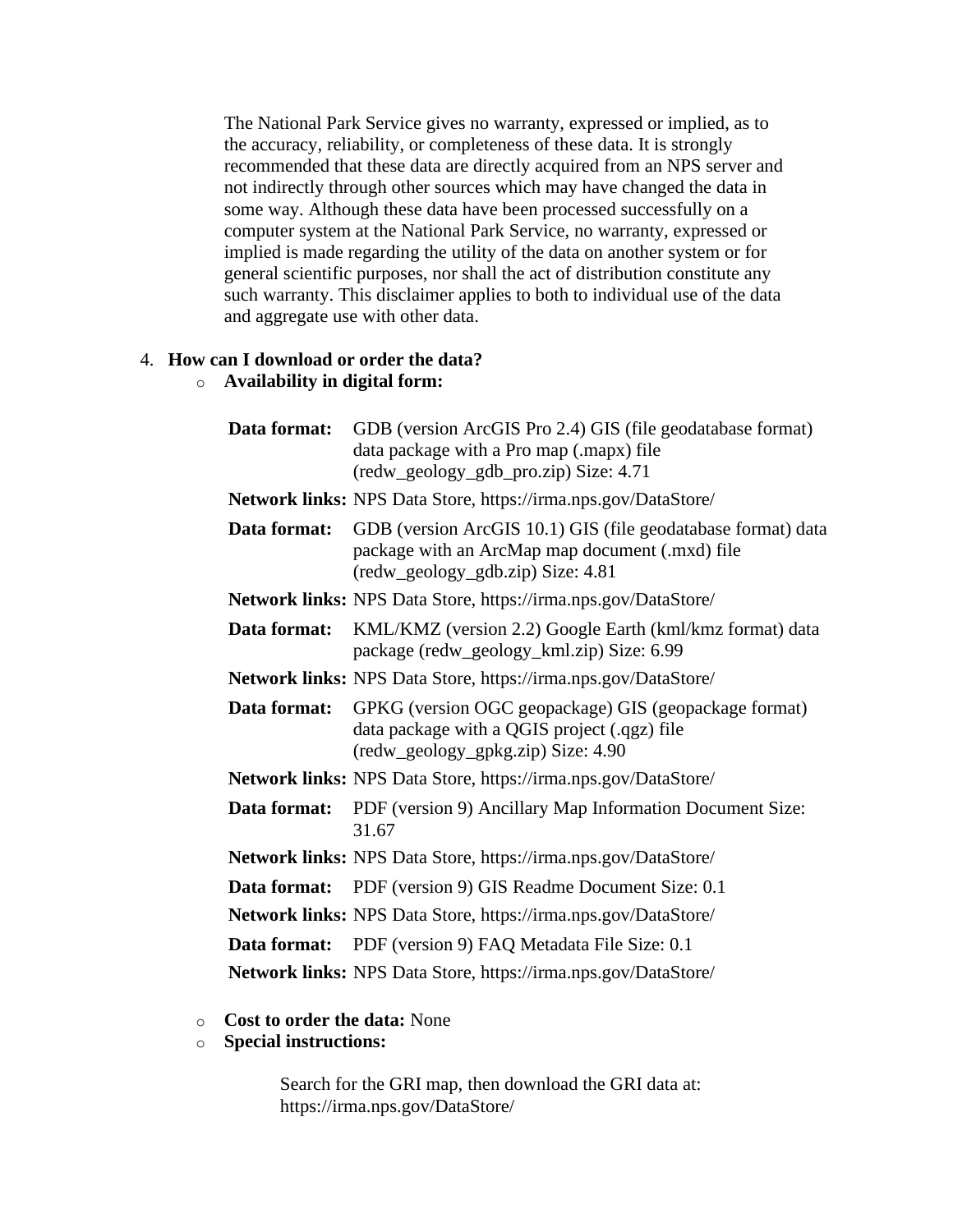The National Park Service gives no warranty, expressed or implied, as to the accuracy, reliability, or completeness of these data. It is strongly recommended that these data are directly acquired from an NPS server and not indirectly through other sources which may have changed the data in some way. Although these data have been processed successfully on a computer system at the National Park Service, no warranty, expressed or implied is made regarding the utility of the data on another system or for general scientific purposes, nor shall the act of distribution constitute any such warranty. This disclaimer applies to both to individual use of the data and aggregate use with other data.

# <span id="page-9-0"></span>4. **How can I download or order the data?**

## o **Availability in digital form:**

|              | <b>Data format:</b> GDB (version ArcGIS Pro 2.4) GIS (file geodatabase format)<br>data package with a Pro map (.mapx) file<br>(redw_geology_gdb_pro.zip) Size: 4.71 |
|--------------|---------------------------------------------------------------------------------------------------------------------------------------------------------------------|
|              | Network links: NPS Data Store, https://irma.nps.gov/DataStore/                                                                                                      |
| Data format: | GDB (version ArcGIS 10.1) GIS (file geodatabase format) data<br>package with an ArcMap map document (.mxd) file<br>(redw_geology_gdb.zip) Size: 4.81                |
|              | Network links: NPS Data Store, https://irma.nps.gov/DataStore/                                                                                                      |
| Data format: | KML/KMZ (version 2.2) Google Earth (kml/kmz format) data<br>package (redw_geology_kml.zip) Size: 6.99                                                               |
|              | <b>Network links:</b> NPS Data Store, https://irma.nps.gov/DataStore/                                                                                               |
| Data format: | GPKG (version OGC geopackage) GIS (geopackage format)<br>data package with a QGIS project (.qgz) file<br>(redw_geology_gpkg.zip) Size: 4.90                         |
|              | <b>Network links:</b> NPS Data Store, https://irma.nps.gov/DataStore/                                                                                               |
| Data format: | PDF (version 9) Ancillary Map Information Document Size:<br>31.67                                                                                                   |
|              | <b>Network links:</b> NPS Data Store, https://irma.nps.gov/DataStore/                                                                                               |
|              | <b>Data format:</b> PDF (version 9) GIS Readme Document Size: 0.1                                                                                                   |
|              | Network links: NPS Data Store, https://irma.nps.gov/DataStore/                                                                                                      |
|              | <b>Data format:</b> PDF (version 9) FAQ Metadata File Size: 0.1                                                                                                     |
|              | Network links: NPS Data Store, https://irma.nps.gov/DataStore/                                                                                                      |

#### o **Cost to order the data:** None

#### o **Special instructions:**

Search for the GRI map, then download the GRI data at: https://irma.nps.gov/DataStore/